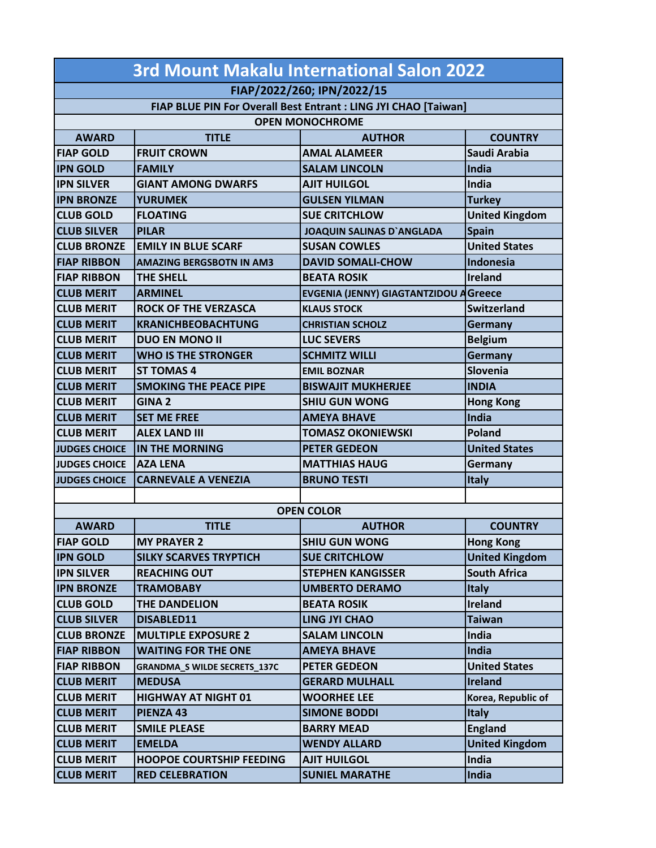| 3rd Mount Makalu International Salon 2022                       |                                     |                                              |                       |  |  |  |
|-----------------------------------------------------------------|-------------------------------------|----------------------------------------------|-----------------------|--|--|--|
| FIAP/2022/260; IPN/2022/15                                      |                                     |                                              |                       |  |  |  |
| FIAP BLUE PIN For Overall Best Entrant : LING JYI CHAO [Taiwan] |                                     |                                              |                       |  |  |  |
| <b>OPEN MONOCHROME</b>                                          |                                     |                                              |                       |  |  |  |
| <b>AWARD</b>                                                    | <b>TITLF</b>                        | <b>AUTHOR</b>                                | <b>COUNTRY</b>        |  |  |  |
| <b>FIAP GOLD</b>                                                | <b>FRUIT CROWN</b>                  | <b>AMAL ALAMEER</b>                          | Saudi Arabia          |  |  |  |
| <b>IPN GOLD</b>                                                 | <b>FAMILY</b>                       | <b>SALAM LINCOLN</b>                         | India                 |  |  |  |
| <b>IPN SILVER</b>                                               | <b>GIANT AMONG DWARFS</b>           | <b>AJIT HUILGOL</b>                          | India                 |  |  |  |
| <b>IPN BRONZE</b>                                               | <b>YURUMEK</b>                      | <b>GULSEN YILMAN</b>                         | <b>Turkey</b>         |  |  |  |
| <b>CLUB GOLD</b>                                                | <b>FLOATING</b>                     | <b>SUE CRITCHLOW</b>                         | <b>United Kingdom</b> |  |  |  |
| <b>CLUB SILVER</b>                                              | <b>PILAR</b>                        | <b>JOAQUIN SALINAS D'ANGLADA</b>             | <b>Spain</b>          |  |  |  |
| <b>CLUB BRONZE</b>                                              | <b>IEMILY IN BLUE SCARF</b>         | <b>SUSAN COWLES</b>                          | <b>United States</b>  |  |  |  |
| <b>FIAP RIBBON</b>                                              | <b>AMAZING BERGSBOTN IN AM3</b>     | <b>DAVID SOMALI-CHOW</b>                     | Indonesia             |  |  |  |
| <b>FIAP RIBBON</b>                                              | <b>THE SHELL</b>                    | <b>BEATA ROSIK</b>                           | <b>Ireland</b>        |  |  |  |
| <b>CLUB MERIT</b>                                               | <b>ARMINEL</b>                      | <b>EVGENIA (JENNY) GIAGTANTZIDOU AGreece</b> |                       |  |  |  |
| <b>CLUB MERIT</b>                                               | <b>ROCK OF THE VERZASCA</b>         | <b>KLAUS STOCK</b>                           | <b>Switzerland</b>    |  |  |  |
| <b>CLUB MERIT</b>                                               | <b>KRANICHBEOBACHTUNG</b>           | <b>CHRISTIAN SCHOLZ</b>                      | Germany               |  |  |  |
| <b>CLUB MERIT</b>                                               | <b>DUO EN MONO II</b>               | <b>LUC SEVERS</b>                            | <b>Belgium</b>        |  |  |  |
| <b>CLUB MERIT</b>                                               | <b>WHO IS THE STRONGER</b>          | <b>SCHMITZ WILLI</b>                         | Germany               |  |  |  |
| <b>CLUB MERIT</b>                                               | <b>ST TOMAS 4</b>                   | <b>EMIL BOZNAR</b>                           | Slovenia              |  |  |  |
| <b>CLUB MERIT</b>                                               | <b>SMOKING THE PEACE PIPE</b>       | <b>BISWAJIT MUKHERJEE</b>                    | <b>INDIA</b>          |  |  |  |
| <b>CLUB MERIT</b>                                               | <b>GINA 2</b>                       | <b>SHIU GUN WONG</b>                         | <b>Hong Kong</b>      |  |  |  |
| <b>CLUB MERIT</b>                                               | <b>SET ME FREE</b>                  | <b>AMEYA BHAVE</b>                           | India                 |  |  |  |
| <b>CLUB MERIT</b>                                               | <b>ALEX LAND III</b>                | <b>TOMASZ OKONIEWSKI</b>                     | <b>Poland</b>         |  |  |  |
| <b>JUDGES CHOICE</b>                                            | IN THE MORNING                      | <b>PETER GEDEON</b>                          | <b>United States</b>  |  |  |  |
| <b>JUDGES CHOICE</b>                                            | <b>AZA LENA</b>                     | <b>MATTHIAS HAUG</b>                         | Germany               |  |  |  |
| <b>JUDGES CHOICE</b>                                            | <b>CARNEVALE A VENEZIA</b>          | <b>BRUNO TESTI</b>                           | Italy                 |  |  |  |
|                                                                 |                                     |                                              |                       |  |  |  |
|                                                                 |                                     | <b>OPEN COLOR</b>                            |                       |  |  |  |
| <b>AWARD</b>                                                    | <b>TITLE</b>                        | <b>AUTHOR</b>                                | <b>COUNTRY</b>        |  |  |  |
| FIAP GOLD                                                       | <b>MY PRAYER 2</b>                  | <b>SHIU GUN WONG</b>                         | <b>Hong Kong</b>      |  |  |  |
| <b>IPN GOLD</b>                                                 | <b>SILKY SCARVES TRYPTICH</b>       | <b>SUE CRITCHLOW</b>                         | <b>United Kingdom</b> |  |  |  |
| <b>IPN SILVER</b>                                               | <b>REACHING OUT</b>                 | <b>STEPHEN KANGISSER</b>                     | <b>South Africa</b>   |  |  |  |
| <b>IPN BRONZE</b>                                               | <b>TRAMOBABY</b>                    | <b>UMBERTO DERAMO</b>                        | <b>Italy</b>          |  |  |  |
| <b>CLUB GOLD</b>                                                | THE DANDELION                       | <b>BEATA ROSIK</b>                           | <b>Ireland</b>        |  |  |  |
| <b>CLUB SILVER</b>                                              | DISABLED11                          | <b>LING JYI CHAO</b>                         | <b>Taiwan</b>         |  |  |  |
| <b>CLUB BRONZE</b>                                              | <b>MULTIPLE EXPOSURE 2</b>          | <b>SALAM LINCOLN</b>                         | India                 |  |  |  |
| <b>FIAP RIBBON</b>                                              | <b>WAITING FOR THE ONE</b>          | <b>AMEYA BHAVE</b>                           | <b>India</b>          |  |  |  |
| <b>FIAP RIBBON</b>                                              | <b>GRANDMA_S WILDE SECRETS_137C</b> | <b>PETER GEDEON</b>                          | <b>United States</b>  |  |  |  |
| <b>CLUB MERIT</b>                                               | <b>MEDUSA</b>                       | <b>GERARD MULHALL</b>                        | <b>Ireland</b>        |  |  |  |
| <b>CLUB MERIT</b>                                               | <b>HIGHWAY AT NIGHT 01</b>          | <b>WOORHEE LEE</b>                           | Korea, Republic of    |  |  |  |
| <b>CLUB MERIT</b>                                               | <b>PIENZA 43</b>                    | <b>SIMONE BODDI</b>                          | <b>Italy</b>          |  |  |  |
| <b>CLUB MERIT</b>                                               | <b>SMILE PLEASE</b>                 | <b>BARRY MEAD</b>                            | <b>England</b>        |  |  |  |
| <b>CLUB MERIT</b>                                               | <b>EMELDA</b>                       | <b>WENDY ALLARD</b>                          | <b>United Kingdom</b> |  |  |  |
| <b>CLUB MERIT</b>                                               | <b>HOOPOE COURTSHIP FEEDING</b>     | <b>AJIT HUILGOL</b>                          | India                 |  |  |  |
| <b>CLUB MERIT</b>                                               | <b>RED CELEBRATION</b>              | <b>SUNIEL MARATHE</b>                        | India                 |  |  |  |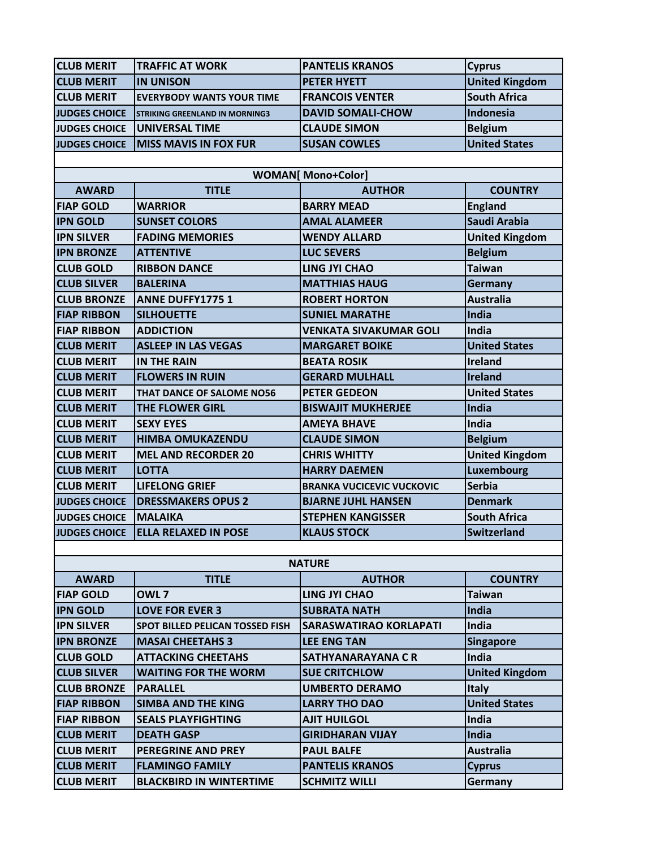| <b>CLUB MERIT</b>    | <b>TRAFFIC AT WORK</b>                 | <b>PANTELIS KRANOS</b>           | <b>Cyprus</b>         |  |  |
|----------------------|----------------------------------------|----------------------------------|-----------------------|--|--|
| <b>CLUB MERIT</b>    | <b>IN UNISON</b>                       | <b>PETER HYETT</b>               | <b>United Kingdom</b> |  |  |
| <b>CLUB MERIT</b>    | <b>EVERYBODY WANTS YOUR TIME</b>       | <b>FRANCOIS VENTER</b>           | <b>South Africa</b>   |  |  |
| <b>JUDGES CHOICE</b> | <b>STRIKING GREENLAND IN MORNING3</b>  | <b>DAVID SOMALI-CHOW</b>         | Indonesia             |  |  |
| <b>JUDGES CHOICE</b> | <b>UNIVERSAL TIME</b>                  | <b>CLAUDE SIMON</b>              | <b>Belgium</b>        |  |  |
| <b>JUDGES CHOICE</b> | <b>MISS MAVIS IN FOX FUR</b>           | <b>SUSAN COWLES</b>              | <b>United States</b>  |  |  |
|                      |                                        |                                  |                       |  |  |
|                      |                                        | <b>WOMAN</b> [ Mono+Color]       |                       |  |  |
| <b>AWARD</b>         | <b>TITLE</b>                           | <b>AUTHOR</b>                    | <b>COUNTRY</b>        |  |  |
| <b>FIAP GOLD</b>     | <b>WARRIOR</b>                         | <b>BARRY MEAD</b>                | <b>England</b>        |  |  |
| <b>IPN GOLD</b>      | <b>SUNSET COLORS</b>                   | <b>AMAL ALAMEER</b>              | Saudi Arabia          |  |  |
| <b>IPN SILVER</b>    | <b>FADING MEMORIES</b>                 | <b>WENDY ALLARD</b>              | <b>United Kingdom</b> |  |  |
| <b>IPN BRONZE</b>    | <b>ATTENTIVE</b>                       | <b>LUC SEVERS</b>                | <b>Belgium</b>        |  |  |
| <b>CLUB GOLD</b>     | <b>RIBBON DANCE</b>                    | <b>LING JYI CHAO</b>             | <b>Taiwan</b>         |  |  |
| <b>CLUB SILVER</b>   | <b>BALERINA</b>                        | <b>MATTHIAS HAUG</b>             | Germany               |  |  |
| <b>CLUB BRONZE</b>   | <b>ANNE DUFFY17751</b>                 | <b>ROBERT HORTON</b>             | <b>Australia</b>      |  |  |
| <b>FIAP RIBBON</b>   | <b>SILHOUETTE</b>                      | <b>SUNIEL MARATHE</b>            | India                 |  |  |
| <b>FIAP RIBBON</b>   | <b>ADDICTION</b>                       | <b>VENKATA SIVAKUMAR GOLI</b>    | India                 |  |  |
| <b>CLUB MERIT</b>    | <b>ASLEEP IN LAS VEGAS</b>             | <b>MARGARET BOIKE</b>            | <b>United States</b>  |  |  |
| <b>CLUB MERIT</b>    | <b>IN THE RAIN</b>                     | <b>BEATA ROSIK</b>               | Ireland               |  |  |
| <b>CLUB MERIT</b>    | <b>FLOWERS IN RUIN</b>                 | <b>GERARD MULHALL</b>            | <b>Ireland</b>        |  |  |
| <b>CLUB MERIT</b>    | THAT DANCE OF SALOME NO56              | <b>PETER GEDEON</b>              | <b>United States</b>  |  |  |
| <b>CLUB MERIT</b>    | <b>THE FLOWER GIRL</b>                 | <b>BISWAJIT MUKHERJEE</b>        | India                 |  |  |
| <b>CLUB MERIT</b>    | <b>SEXY EYES</b>                       | <b>AMEYA BHAVE</b>               | India                 |  |  |
| <b>CLUB MERIT</b>    | <b>HIMBA OMUKAZENDU</b>                | <b>CLAUDE SIMON</b>              | <b>Belgium</b>        |  |  |
| <b>CLUB MERIT</b>    | <b>MEL AND RECORDER 20</b>             | <b>CHRIS WHITTY</b>              | <b>United Kingdom</b> |  |  |
| <b>CLUB MERIT</b>    | <b>LOTTA</b>                           | <b>HARRY DAEMEN</b>              | <b>Luxembourg</b>     |  |  |
| <b>CLUB MERIT</b>    | <b>LIFELONG GRIEF</b>                  | <b>BRANKA VUCICEVIC VUCKOVIC</b> | <b>Serbia</b>         |  |  |
| <b>JUDGES CHOICE</b> | <b>DRESSMAKERS OPUS 2</b>              | <b>BJARNE JUHL HANSEN</b>        | <b>Denmark</b>        |  |  |
| <b>JUDGES CHOICE</b> | <b>MALAIKA</b>                         | <b>STEPHEN KANGISSER</b>         | <b>South Africa</b>   |  |  |
| <b>JUDGES CHOICE</b> | <b>ELLA RELAXED IN POSE</b>            | <b>KLAUS STOCK</b>               | <b>Switzerland</b>    |  |  |
|                      |                                        |                                  |                       |  |  |
|                      |                                        | <b>NATURE</b>                    |                       |  |  |
| <b>AWARD</b>         | <b>TITLE</b>                           | <b>AUTHOR</b>                    | <b>COUNTRY</b>        |  |  |
| <b>FIAP GOLD</b>     | OWL <sub>7</sub>                       | <b>LING JYI CHAO</b>             | <b>Taiwan</b>         |  |  |
| <b>IPN GOLD</b>      | <b>LOVE FOR EVER 3</b>                 | <b>SUBRATA NATH</b>              | India                 |  |  |
| <b>IPN SILVER</b>    | <b>SPOT BILLED PELICAN TOSSED FISH</b> | <b>SARASWATIRAO KORLAPATI</b>    | India                 |  |  |
| <b>IPN BRONZE</b>    | <b>MASAI CHEETAHS 3</b>                | <b>LEE ENG TAN</b>               | <b>Singapore</b>      |  |  |
| <b>CLUB GOLD</b>     | <b>ATTACKING CHEETAHS</b>              | SATHYANARAYANA C R               | India                 |  |  |
| <b>CLUB SILVER</b>   | <b>WAITING FOR THE WORM</b>            | <b>SUE CRITCHLOW</b>             | <b>United Kingdom</b> |  |  |
| <b>CLUB BRONZE</b>   | <b>PARALLEL</b>                        | <b>UMBERTO DERAMO</b>            | <b>Italy</b>          |  |  |
| <b>FIAP RIBBON</b>   | <b>SIMBA AND THE KING</b>              | <b>LARRY THO DAO</b>             | <b>United States</b>  |  |  |
| <b>FIAP RIBBON</b>   | <b>SEALS PLAYFIGHTING</b>              | <b>AJIT HUILGOL</b>              | India                 |  |  |
| <b>CLUB MERIT</b>    | <b>DEATH GASP</b>                      | <b>GIRIDHARAN VIJAY</b>          | India                 |  |  |
| <b>CLUB MERIT</b>    | <b>PEREGRINE AND PREY</b>              | <b>PAUL BALFE</b>                | <b>Australia</b>      |  |  |
| <b>CLUB MERIT</b>    | <b>FLAMINGO FAMILY</b>                 | <b>PANTELIS KRANOS</b>           | <b>Cyprus</b>         |  |  |
| <b>CLUB MERIT</b>    | <b>BLACKBIRD IN WINTERTIME</b>         | <b>SCHMITZ WILLI</b>             | Germany               |  |  |